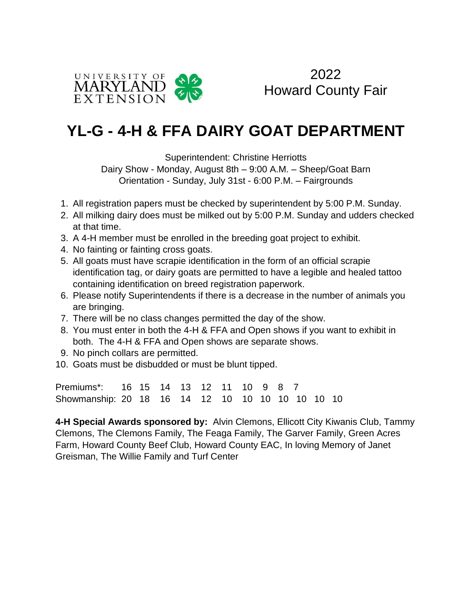

2022 Howard County Fair

## **YL-G - 4-H & FFA DAIRY GOAT DEPARTMENT**

Superintendent: Christine Herriotts

Dairy Show - Monday, August 8th – 9:00 A.M. – Sheep/Goat Barn Orientation - Sunday, July 31st - 6:00 P.M. – Fairgrounds

- 1. All registration papers must be checked by superintendent by 5:00 P.M. Sunday.
- 2. All milking dairy does must be milked out by 5:00 P.M. Sunday and udders checked at that time.
- 3. A 4-H member must be enrolled in the breeding goat project to exhibit.
- 4. No fainting or fainting cross goats.
- 5. All goats must have scrapie identification in the form of an official scrapie identification tag, or dairy goats are permitted to have a legible and healed tattoo containing identification on breed registration paperwork.
- 6. Please notify Superintendents if there is a decrease in the number of animals you are bringing.
- 7. There will be no class changes permitted the day of the show.
- 8. You must enter in both the 4-H & FFA and Open shows if you want to exhibit in both. The 4-H & FFA and Open shows are separate shows.
- 9. No pinch collars are permitted.
- 10. Goats must be disbudded or must be blunt tipped.

Premiums\*: 16 15 14 13 12 11 10 9 8 7 Showmanship: 20 18 16 14 12 10 10 10 10 10 10 10

**4-H Special Awards sponsored by:** Alvin Clemons, Ellicott City Kiwanis Club, Tammy Clemons, The Clemons Family, The Feaga Family, The Garver Family, Green Acres Farm, Howard County Beef Club, Howard County EAC, In loving Memory of Janet Greisman, The Willie Family and Turf Center